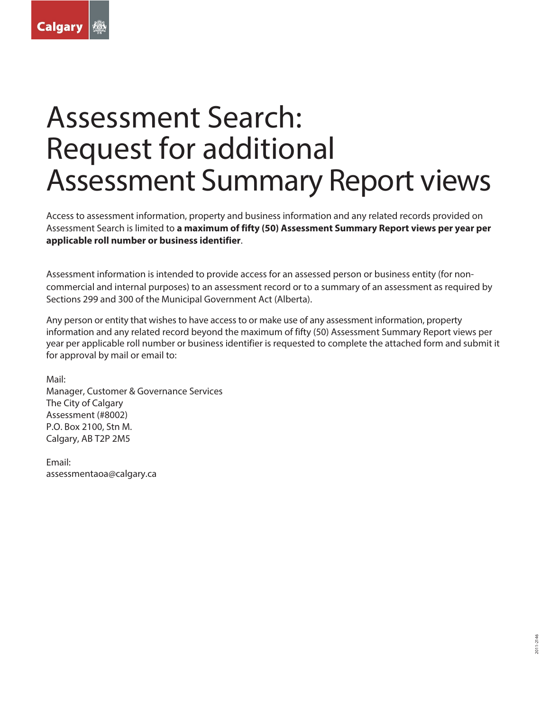## Assessment Search: Request for additional Assessment Summary Report views

Access to assessment information, property and business information and any related records provided on Assessment Search is limited to **a maximum of fifty (50) Assessment Summary Report views per year per applicable roll number or business identifier**.

Assessment information is intended to provide access for an assessed person or business entity (for noncommercial and internal purposes) to an assessment record or to a summary of an assessment as required by Sections 299 and 300 of the *Municipal Government* Act (Alberta).

Any person or entity that wishes to have access to or make use of any assessment information, property information and any related record beyond the maximum of fifty (50) Assessment Summary Report views per year per applicable roll number or business identifier is requested to complete the attached form and submit it for approval by mail or email to:

Mail: Manager, Customer & Governance Services The City of Calgary Assessment (#8002) P.O. Box 2100, Stn M. Calgary, AB T2P 2M5

Email: assessmentaoa@calgary.ca